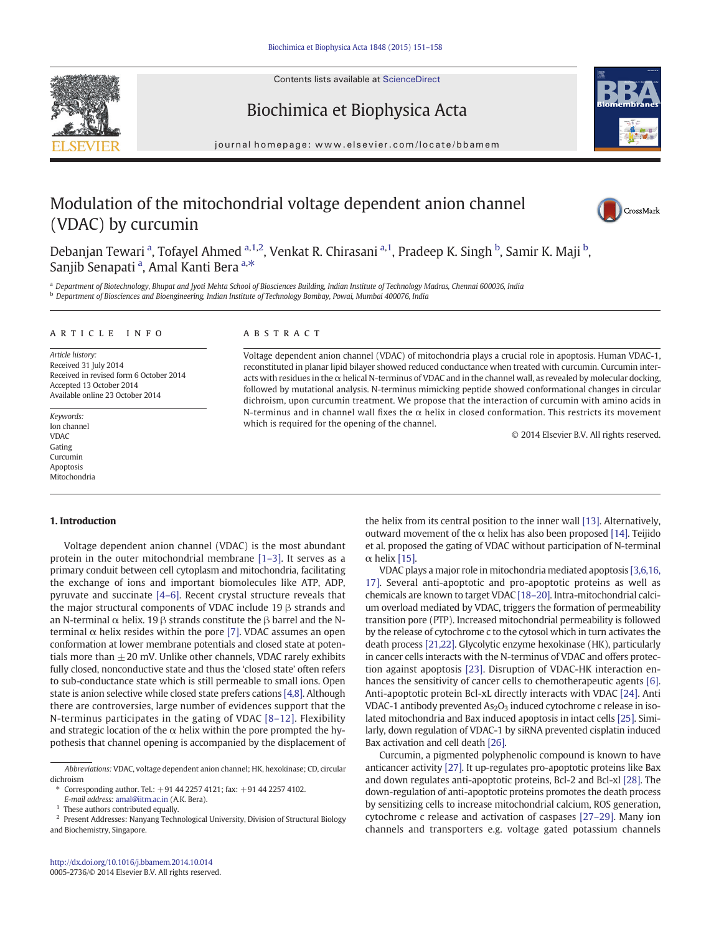Contents lists available at ScienceDirect





# Biochimica et Biophysica Acta

journal homepage:<www.elsevier.com/locate/bbamem>

# Modulation of the mitochondrial voltage dependent anion channel (VDAC) by curcumin



Debanjan Tewari <sup>a</sup>, Tofayel Ahmed <sup>a,1,2</sup>, Venkat R. Chirasani <sup>a,1</sup>, Pradeep K. Singh <sup>b</sup>, Samir K. Maji <sup>b</sup>, Sanjib Senapati <sup>a</sup>, Amal Kanti Bera <sup>a,\*</sup>

<sup>a</sup> Department of Biotechnology, Bhupat and Jyoti Mehta School of Biosciences Building, Indian Institute of Technology Madras, Chennai 600036, India <sup>b</sup> Department of Biosciences and Bioengineering, Indian Institute of Technology Bombay, Powai, Mumbai 400076, India

#### article info abstract

Article history: Received 31 July 2014 Received in revised form 6 October 2014 Accepted 13 October 2014 Available online 23 October 2014

Keywords: Ion channel VDAC Gating Curcumin Apoptosis Mitochondria

#### 1. Introduction

Voltage dependent anion channel (VDAC) is the most abundant protein in the outer mitochondrial membrane [1–[3\].](#page-6-0) It serves as a primary conduit between cell cytoplasm and mitochondria, facilitating the exchange of ions and important biomolecules like ATP, ADP, pyruvate and succinate [\[4](#page-6-0)–6]. Recent crystal structure reveals that the major structural components of VDAC include 19 β strands and an N-terminal  $\alpha$  helix. 19 β strands constitute the β barrel and the Nterminal  $\alpha$  helix resides within the pore [\[7\]](#page-6-0). VDAC assumes an open conformation at lower membrane potentials and closed state at potentials more than  $\pm 20$  mV. Unlike other channels, VDAC rarely exhibits fully closed, nonconductive state and thus the 'closed state' often refers to sub-conductance state which is still permeable to small ions. Open state is anion selective while closed state prefers cations [\[4,8\]](#page-6-0). Although there are controversies, large number of evidences support that the N-terminus participates in the gating of VDAC [8–[12\]](#page-6-0). Flexibility and strategic location of the  $\alpha$  helix within the pore prompted the hypothesis that channel opening is accompanied by the displacement of

Voltage dependent anion channel (VDAC) of mitochondria plays a crucial role in apoptosis. Human VDAC-1, reconstituted in planar lipid bilayer showed reduced conductance when treated with curcumin. Curcumin interacts with residues in the  $\alpha$  helical N-terminus of VDAC and in the channel wall, as revealed by molecular docking, followed by mutational analysis. N-terminus mimicking peptide showed conformational changes in circular dichroism, upon curcumin treatment. We propose that the interaction of curcumin with amino acids in N-terminus and in channel wall fixes the  $\alpha$  helix in closed conformation. This restricts its movement which is required for the opening of the channel.

© 2014 Elsevier B.V. All rights reserved.

the helix from its central position to the inner wall [\[13\]](#page-6-0). Alternatively, outward movement of the  $\alpha$  helix has also been proposed [\[14\]](#page-6-0). Teijido et al. proposed the gating of VDAC without participation of N-terminal α helix [\[15\].](#page-6-0)

VDAC plays a major role in mitochondria mediated apoptosis [\[3,6,16,](#page-6-0) [17\].](#page-6-0) Several anti-apoptotic and pro-apoptotic proteins as well as chemicals are known to target VDAC [18–20]. Intra-mitochondrial calcium overload mediated by VDAC, triggers the formation of permeability transition pore (PTP). Increased mitochondrial permeability is followed by the release of cytochrome c to the cytosol which in turn activates the death process [21,22]. Glycolytic enzyme hexokinase (HK), particularly in cancer cells interacts with the N-terminus of VDAC and offers protection against apoptosis [23]. Disruption of VDAC-HK interaction enhances the sensitivity of cancer cells to chemotherapeutic agents [\[6\].](#page-6-0) Anti-apoptotic protein Bcl-xL directly interacts with VDAC [24]. Anti VDAC-1 antibody prevented  $As_2O_3$  induced cytochrome c release in isolated mitochondria and Bax induced apoptosis in intact cells [25]. Similarly, down regulation of VDAC-1 by siRNA prevented cisplatin induced Bax activation and cell death [26].

Curcumin, a pigmented polyphenolic compound is known to have anticancer activity [27]. It up-regulates pro-apoptotic proteins like Bax and down regulates anti-apoptotic proteins, Bcl-2 and Bcl-xl [28]. The down-regulation of anti-apoptotic proteins promotes the death process by sensitizing cells to increase mitochondrial calcium, ROS generation, cytochrome c release and activation of caspases [27–29]. Many ion channels and transporters e.g. voltage gated potassium channels

Abbreviations: VDAC, voltage dependent anion channel; HK, hexokinase; CD, circular dichroism

<sup>⁎</sup> Corresponding author. Tel.: +91 44 2257 4121; fax: +91 44 2257 4102.

E-mail address: [amal@iitm.ac.in](mailto:amal@iitm.ac.in) (A.K. Bera).

These authors contributed equally.

<sup>2</sup> Present Addresses: Nanyang Technological University, Division of Structural Biology and Biochemistry, Singapore.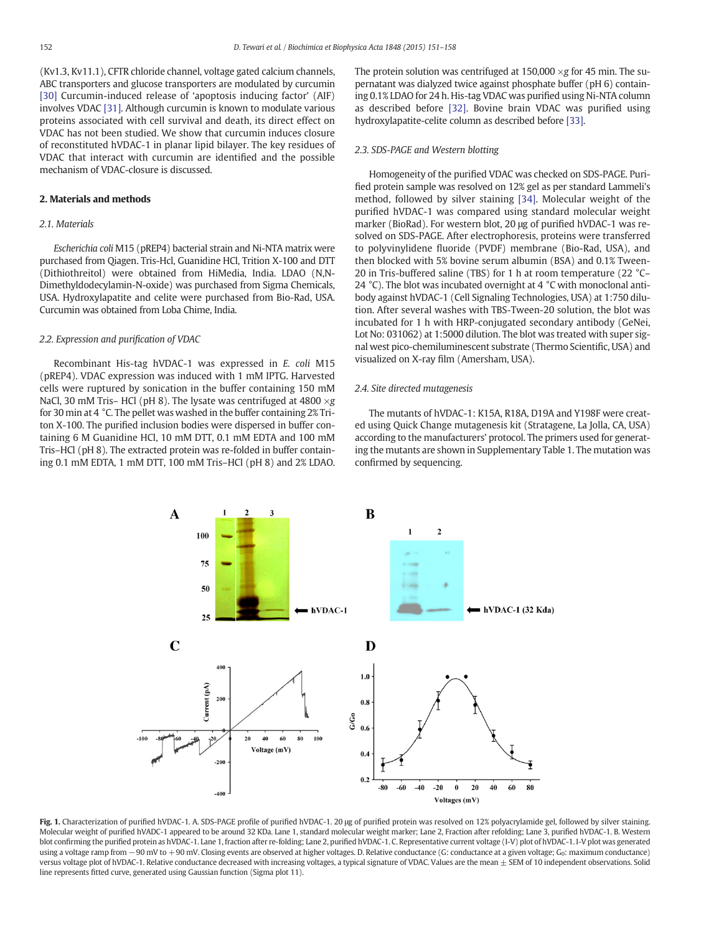(Kv1.3, Kv11.1), CFTR chloride channel, voltage gated calcium channels, ABC transporters and glucose transporters are modulated by curcumin [30] Curcumin-induced release of 'apoptosis inducing factor' (AIF) involves VDAC [31]. Although curcumin is known to modulate various proteins associated with cell survival and death, its direct effect on VDAC has not been studied. We show that curcumin induces closure of reconstituted hVDAC-1 in planar lipid bilayer. The key residues of VDAC that interact with curcumin are identified and the possible mechanism of VDAC-closure is discussed.

# 2. Materials and methods

# 2.1. Materials

Escherichia coli M15 (pREP4) bacterial strain and Ni-NTA matrix were purchased from Qiagen. Tris-Hcl, Guanidine HCl, Trition X-100 and DTT (Dithiothreitol) were obtained from HiMedia, India. LDAO (N,N-Dimethyldodecylamin-N-oxide) was purchased from Sigma Chemicals, USA. Hydroxylapatite and celite were purchased from Bio-Rad, USA. Curcumin was obtained from Loba Chime, India.

#### 2.2. Expression and purification of VDAC

Recombinant His-tag hVDAC-1 was expressed in E. coli M15 (pREP4). VDAC expression was induced with 1 mM IPTG. Harvested cells were ruptured by sonication in the buffer containing 150 mM NaCl, 30 mM Tris– HCl (pH 8). The lysate was centrifuged at 4800  $\times$ g for 30 min at 4 °C. The pellet was washed in the buffer containing 2% Triton X-100. The purified inclusion bodies were dispersed in buffer containing 6 M Guanidine HCl, 10 mM DTT, 0.1 mM EDTA and 100 mM Tris–HCl (pH 8). The extracted protein was re-folded in buffer containing 0.1 mM EDTA, 1 mM DTT, 100 mM Tris–HCl (pH 8) and 2% LDAO. The protein solution was centrifuged at  $150,000 \times g$  for 45 min. The supernatant was dialyzed twice against phosphate buffer (pH 6) containing 0.1% LDAO for 24 h. His-tag VDAC was purified using Ni-NTA column as described before [32]. Bovine brain VDAC was purified using hydroxylapatite-celite column as described before [33].

#### 2.3. SDS-PAGE and Western blotting

Homogeneity of the purified VDAC was checked on SDS-PAGE. Purified protein sample was resolved on 12% gel as per standard Lammeli's method, followed by silver staining [34]. Molecular weight of the purified hVDAC-1 was compared using standard molecular weight marker (BioRad). For western blot, 20 μg of purified hVDAC-1 was resolved on SDS-PAGE. After electrophoresis, proteins were transferred to polyvinylidene fluoride (PVDF) membrane (Bio-Rad, USA), and then blocked with 5% bovine serum albumin (BSA) and 0.1% Tween-20 in Tris-buffered saline (TBS) for 1 h at room temperature (22 °C– 24 °C). The blot was incubated overnight at 4 °C with monoclonal antibody against hVDAC-1 (Cell Signaling Technologies, USA) at 1:750 dilution. After several washes with TBS-Tween-20 solution, the blot was incubated for 1 h with HRP-conjugated secondary antibody (GeNei, Lot No: 031062) at 1:5000 dilution. The blot was treated with super signal west pico-chemiluminescent substrate (Thermo Scientific, USA) and visualized on X-ray film (Amersham, USA).

#### 2.4. Site directed mutagenesis

The mutants of hVDAC-1: K15A, R18A, D19A and Y198F were created using Quick Change mutagenesis kit (Stratagene, La Jolla, CA, USA) according to the manufacturers' protocol. The primers used for generating the mutants are shown in Supplementary Table 1. The mutation was confirmed by sequencing.



Fig. 1. Characterization of purified hVDAC-1. A. SDS-PAGE profile of purified hVDAC-1. 20 μg of purified protein was resolved on 12% polyacrylamide gel, followed by silver staining. Molecular weight of purified hVADC-1 appeared to be around 32 KDa. Lane 1, standard molecular weight marker; Lane 2, Fraction after refolding; Lane 3, purified hVDAC-1. B. Western blot confirming the purified protein as hVDAC-1. Lane 1, fraction after re-folding; Lane 2, purified hVDAC-1. C. Representative current voltage (I-V) plot of hVDAC-1. I-V plot was generated using a voltage ramp from −90 mV to +90 mV. Closing events are observed at higher voltages. D. Relative conductance (G: conductance at a given voltage; G<sub>0</sub>: maximum conductance) versus voltage plot of hVDAC-1. Relative conductance decreased with increasing voltages, a typical signature of VDAC. Values are the mean  $\pm$  SEM of 10 independent observations. Solid line represents fitted curve, generated using Gaussian function (Sigma plot 11).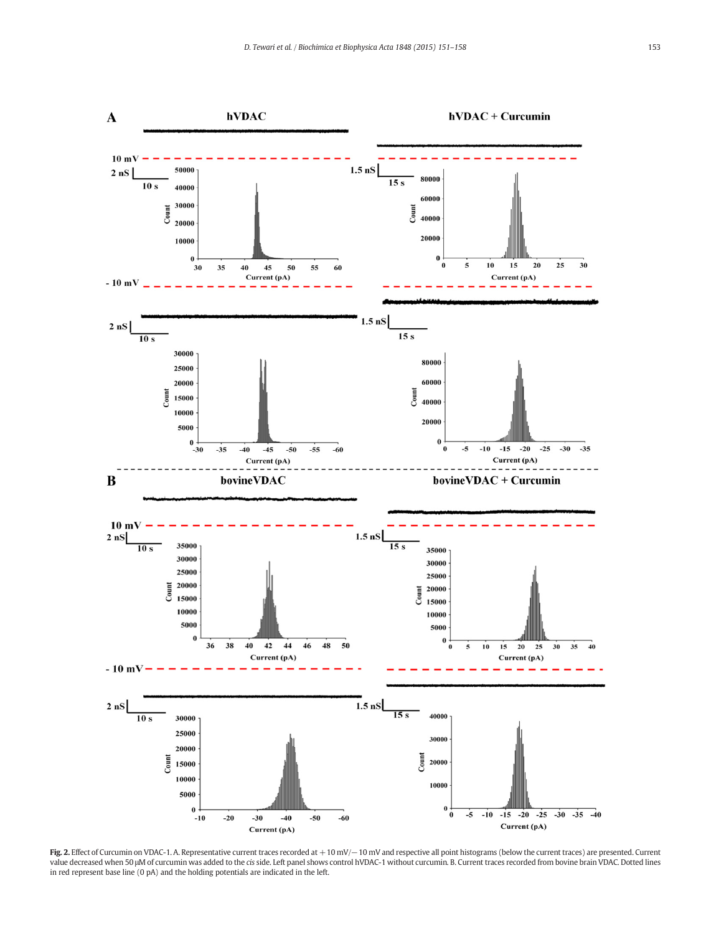

Fig. 2. Effect of Curcumin on VDAC-1. A. Representative current traces recorded at +10 mV/−10 mV and respective all point histograms (below the current traces) are presented. Current value decreased when 50 μM of curcumin was added to the cis side. Left panel shows control hVDAC-1 without curcumin. B. Current traces recorded from bovine brain VDAC. Dotted lines in red represent base line (0 pA) and the holding potentials are indicated in the left.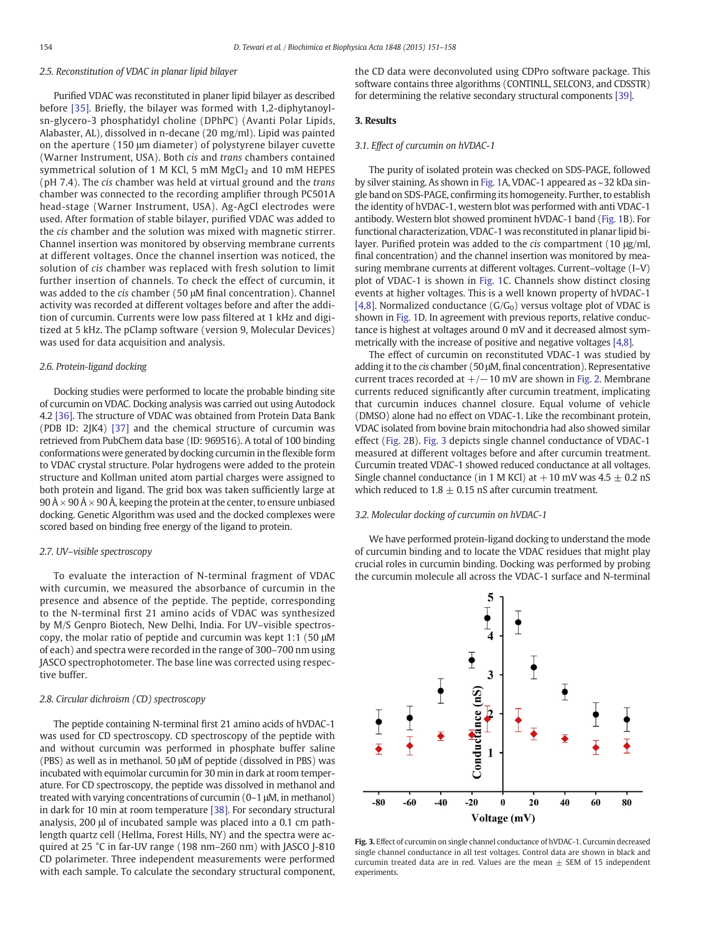# 2.5. Reconstitution of VDAC in planar lipid bilayer

Purified VDAC was reconstituted in planer lipid bilayer as described before [35]. Briefly, the bilayer was formed with 1,2-diphytanoylsn-glycero-3 phosphatidyl choline (DPhPC) (Avanti Polar Lipids, Alabaster, AL), dissolved in n-decane (20 mg/ml). Lipid was painted on the aperture (150 μm diameter) of polystyrene bilayer cuvette (Warner Instrument, USA). Both cis and trans chambers contained symmetrical solution of 1 M KCl, 5 mM  $MgCl<sub>2</sub>$  and 10 mM HEPES (pH 7.4). The cis chamber was held at virtual ground and the trans chamber was connected to the recording amplifier through PC501A head-stage (Warner Instrument, USA). Ag-AgCl electrodes were used. After formation of stable bilayer, purified VDAC was added to the cis chamber and the solution was mixed with magnetic stirrer. Channel insertion was monitored by observing membrane currents at different voltages. Once the channel insertion was noticed, the solution of cis chamber was replaced with fresh solution to limit further insertion of channels. To check the effect of curcumin, it was added to the cis chamber (50 μM final concentration). Channel activity was recorded at different voltages before and after the addition of curcumin. Currents were low pass filtered at 1 kHz and digitized at 5 kHz. The pClamp software (version 9, Molecular Devices) was used for data acquisition and analysis.

#### 2.6. Protein-ligand docking

Docking studies were performed to locate the probable binding site of curcumin on VDAC. Docking analysis was carried out using Autodock 4.2 [36]. The structure of VDAC was obtained from Protein Data Bank (PDB ID: 2JK4) [37] and the chemical structure of curcumin was retrieved from PubChem data base (ID: 969516). A total of 100 binding conformations were generated by docking curcumin in the flexible form to VDAC crystal structure. Polar hydrogens were added to the protein structure and Kollman united atom partial charges were assigned to both protein and ligand. The grid box was taken sufficiently large at  $90 \text{\AA} \times 90 \text{\AA} \times 90 \text{\AA}$ , keeping the protein at the center, to ensure unbiased docking. Genetic Algorithm was used and the docked complexes were scored based on binding free energy of the ligand to protein.

### 2.7. UV–visible spectroscopy

To evaluate the interaction of N-terminal fragment of VDAC with curcumin, we measured the absorbance of curcumin in the presence and absence of the peptide. The peptide, corresponding to the N-terminal first 21 amino acids of VDAC was synthesized by M/S Genpro Biotech, New Delhi, India. For UV–visible spectroscopy, the molar ratio of peptide and curcumin was kept 1:1 (50 μM of each) and spectra were recorded in the range of 300–700 nm using JASCO spectrophotometer. The base line was corrected using respective buffer.

# 2.8. Circular dichroism (CD) spectroscopy

The peptide containing N-terminal first 21 amino acids of hVDAC-1 was used for CD spectroscopy. CD spectroscopy of the peptide with and without curcumin was performed in phosphate buffer saline (PBS) as well as in methanol. 50 μM of peptide (dissolved in PBS) was incubated with equimolar curcumin for 30 min in dark at room temperature. For CD spectroscopy, the peptide was dissolved in methanol and treated with varying concentrations of curcumin (0–1 μM, in methanol) in dark for 10 min at room temperature [38]. For secondary structural analysis, 200 μl of incubated sample was placed into a 0.1 cm pathlength quartz cell (Hellma, Forest Hills, NY) and the spectra were acquired at 25 °C in far-UV range (198 nm–260 nm) with JASCO J-810 CD polarimeter. Three independent measurements were performed with each sample. To calculate the secondary structural component, the CD data were deconvoluted using CDPro software package. This software contains three algorithms (CONTINLL, SELCON3, and CDSSTR) for determining the relative secondary structural components [39].

#### 3. Results

#### 3.1. Effect of curcumin on hVDAC-1

The purity of isolated protein was checked on SDS-PAGE, followed by silver staining. As shown in Fig. 1A, VDAC-1 appeared as ~32 kDa single band on SDS-PAGE, confirming its homogeneity. Further, to establish the identity of hVDAC-1, western blot was performed with anti VDAC-1 antibody. Western blot showed prominent hVDAC-1 band (Fig. 1B). For functional characterization, VDAC-1 was reconstituted in planar lipid bilayer. Purified protein was added to the cis compartment (10 μg/ml, final concentration) and the channel insertion was monitored by measuring membrane currents at different voltages. Current–voltage (I–V) plot of VDAC-1 is shown in Fig. 1C. Channels show distinct closing events at higher voltages. This is a well known property of hVDAC-1 [\[4,8\]](#page-6-0). Normalized conductance  $(G/G_0)$  versus voltage plot of VDAC is shown in Fig. 1D. In agreement with previous reports, relative conductance is highest at voltages around 0 mV and it decreased almost symmetrically with the increase of positive and negative voltages [\[4,8\]](#page-6-0).

The effect of curcumin on reconstituted VDAC-1 was studied by adding it to the cis chamber (50 μM, final concentration). Representative current traces recorded at  $+/-10$  mV are shown in Fig. 2. Membrane currents reduced significantly after curcumin treatment, implicating that curcumin induces channel closure. Equal volume of vehicle (DMSO) alone had no effect on VDAC-1. Like the recombinant protein, VDAC isolated from bovine brain mitochondria had also showed similar effect (Fig. 2B). Fig. 3 depicts single channel conductance of VDAC-1 measured at different voltages before and after curcumin treatment. Curcumin treated VDAC-1 showed reduced conductance at all voltages. Single channel conductance (in 1 M KCl) at  $+10$  mV was 4.5  $\pm$  0.2 nS which reduced to  $1.8 \pm 0.15$  nS after curcumin treatment.

#### 3.2. Molecular docking of curcumin on hVDAC-1

We have performed protein-ligand docking to understand the mode of curcumin binding and to locate the VDAC residues that might play crucial roles in curcumin binding. Docking was performed by probing the curcumin molecule all across the VDAC-1 surface and N-terminal



Fig. 3. Effect of curcumin on single channel conductance of hVDAC-1. Curcumin decreased single channel conductance in all test voltages. Control data are shown in black and curcumin treated data are in red. Values are the mean  $\pm$  SEM of 15 independent experiments.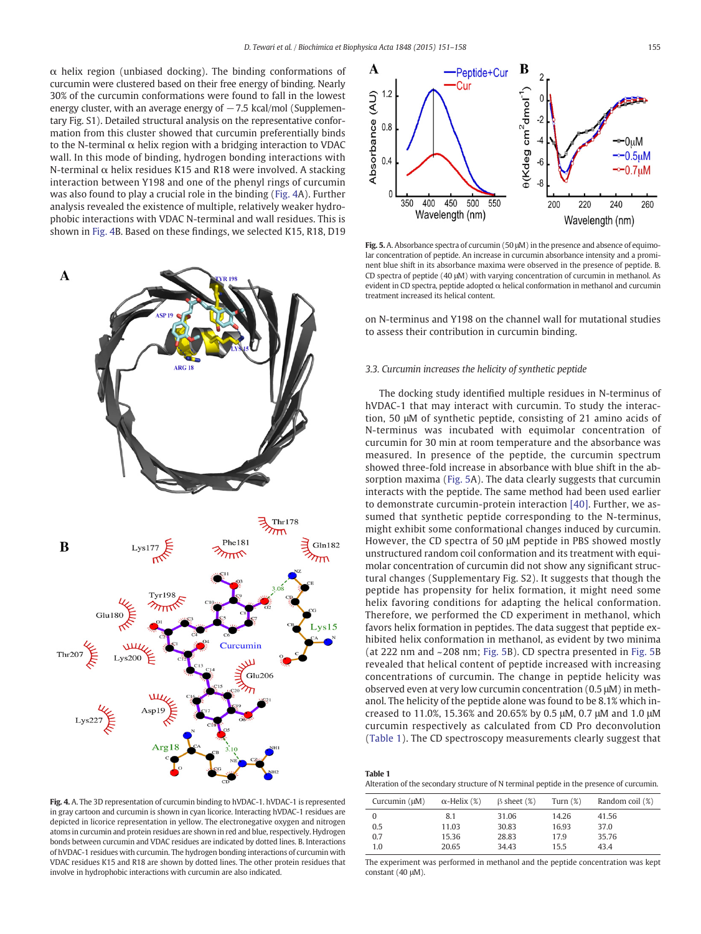$\alpha$  helix region (unbiased docking). The binding conformations of curcumin were clustered based on their free energy of binding. Nearly 30% of the curcumin conformations were found to fall in the lowest energy cluster, with an average energy of  $-7.5$  kcal/mol (Supplementary Fig. S1). Detailed structural analysis on the representative conformation from this cluster showed that curcumin preferentially binds to the N-terminal  $\alpha$  helix region with a bridging interaction to VDAC wall. In this mode of binding, hydrogen bonding interactions with N-terminal  $\alpha$  helix residues K15 and R18 were involved. A stacking interaction between Y198 and one of the phenyl rings of curcumin was also found to play a crucial role in the binding (Fig. 4A). Further analysis revealed the existence of multiple, relatively weaker hydrophobic interactions with VDAC N-terminal and wall residues. This is shown in Fig. 4B. Based on these findings, we selected K15, R18, D19



Fig. 4. A. The 3D representation of curcumin binding to hVDAC-1. hVDAC-1 is represented in gray cartoon and curcumin is shown in cyan licorice. Interacting hVDAC-1 residues are depicted in licorice representation in yellow. The electronegative oxygen and nitrogen atoms in curcumin and protein residues are shown in red and blue, respectively. Hydrogen bonds between curcumin and VDAC residues are indicated by dotted lines. B. Interactions of hVDAC-1 residues with curcumin. The hydrogen bonding interactions of curcumin with VDAC residues K15 and R18 are shown by dotted lines. The other protein residues that involve in hydrophobic interactions with curcumin are also indicated.



Fig. 5. A. Absorbance spectra of curcumin (50 μM) in the presence and absence of equimolar concentration of peptide. An increase in curcumin absorbance intensity and a prominent blue shift in its absorbance maxima were observed in the presence of peptide. B. CD spectra of peptide (40 μM) with varying concentration of curcumin in methanol. As evident in CD spectra, peptide adopted  $\alpha$  helical conformation in methanol and curcumin treatment increased its helical content.

on N-terminus and Y198 on the channel wall for mutational studies to assess their contribution in curcumin binding.

#### 3.3. Curcumin increases the helicity of synthetic peptide

The docking study identified multiple residues in N-terminus of hVDAC-1 that may interact with curcumin. To study the interaction, 50 μM of synthetic peptide, consisting of 21 amino acids of N-terminus was incubated with equimolar concentration of curcumin for 30 min at room temperature and the absorbance was measured. In presence of the peptide, the curcumin spectrum showed three-fold increase in absorbance with blue shift in the absorption maxima (Fig. 5A). The data clearly suggests that curcumin interacts with the peptide. The same method had been used earlier to demonstrate curcumin-protein interaction [40]. Further, we assumed that synthetic peptide corresponding to the N-terminus, might exhibit some conformational changes induced by curcumin. However, the CD spectra of 50 μM peptide in PBS showed mostly unstructured random coil conformation and its treatment with equimolar concentration of curcumin did not show any significant structural changes (Supplementary Fig. S2). It suggests that though the peptide has propensity for helix formation, it might need some helix favoring conditions for adapting the helical conformation. Therefore, we performed the CD experiment in methanol, which favors helix formation in peptides. The data suggest that peptide exhibited helix conformation in methanol, as evident by two minima (at 222 nm and ~208 nm; Fig. 5B). CD spectra presented in Fig. 5B revealed that helical content of peptide increased with increasing concentrations of curcumin. The change in peptide helicity was observed even at very low curcumin concentration (0.5 μM) in methanol. The helicity of the peptide alone was found to be 8.1% which increased to 11.0%, 15.36% and 20.65% by 0.5 μM, 0.7 μM and 1.0 μM curcumin respectively as calculated from CD Pro deconvolution (Table 1). The CD spectroscopy measurements clearly suggest that

| <b>Table 1</b>                                                                           |
|------------------------------------------------------------------------------------------|
| Alteration of the secondary structure of N terminal peptide in the presence of curcumin. |

| Curcumin $(\mu M)$ | $\alpha$ -Helix (%) | $\beta$ sheet $(\%)$ | Turn $(\%)$ | Random coil (%) |
|--------------------|---------------------|----------------------|-------------|-----------------|
| $\Omega$           | 8.1                 | 31.06                | 14.26       | 41.56           |
| 0.5                | 11.03               | 30.83                | 16.93       | 37.0            |
| 0.7                | 15.36               | 28.83                | 17.9        | 35.76           |
| 1.0                | 20.65               | 34.43                | 15.5        | 43.4            |

The experiment was performed in methanol and the peptide concentration was kept constant (40 μM).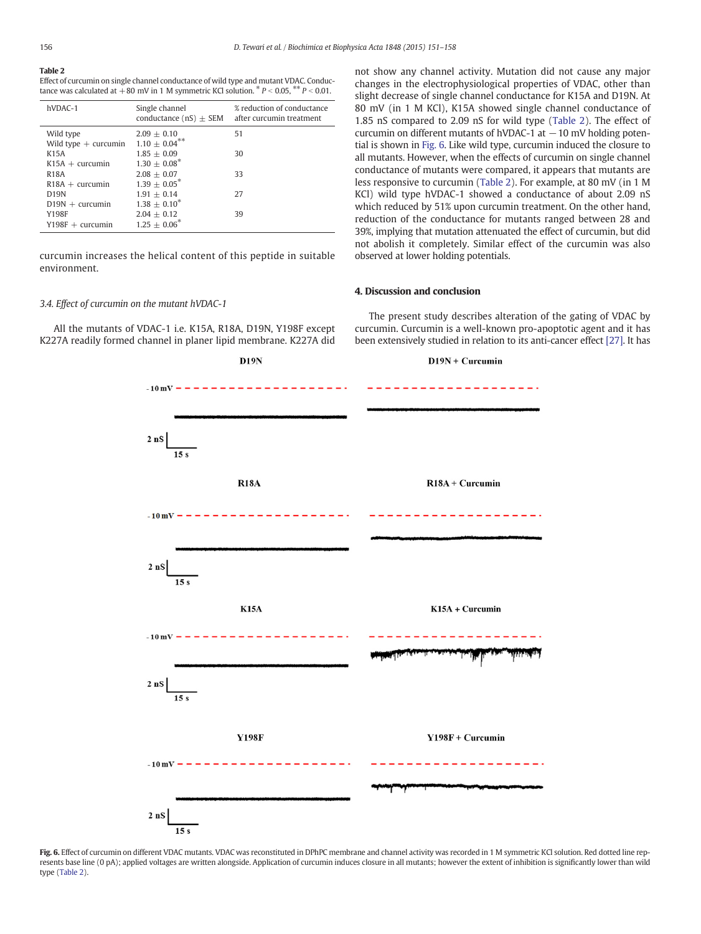# Table 2

Effect of curcumin on single channel conductance of wild type and mutant VDAC. Conductance was calculated at  $+80$  mV in 1 M symmetric KCl solution.  $* P < 0.05$ ,  $* P < 0.01$ .

| hVDAC-1                                 | Single channel<br>conductance $(nS) \pm SEM$ | % reduction of conductance<br>after curcumin treatment |
|-----------------------------------------|----------------------------------------------|--------------------------------------------------------|
| Wild type<br>Wild type $+$ curcumin     | $2.09 + 0.10$<br>$1.10 + 0.04***$            | 51                                                     |
| K <sub>15</sub> A<br>$K15A + curcumin$  | $1.85 + 0.09$<br>$1.30 + 0.08^*$             | 30                                                     |
| <b>R18A</b><br>$R18A + \text{curcumin}$ | $2.08 + 0.07$<br>$1.39 + 0.05^*$             | 33                                                     |
| <b>D19N</b>                             | $1.91 + 0.14$                                | 27                                                     |
| $D19N +$ curcumin<br>Y198F              | $1.38 + 0.10^*$<br>$2.04 + 0.12$             | 39                                                     |
| $Y198F +$ curcumin                      | $1.25 \pm 0.06^*$                            |                                                        |

curcumin increases the helical content of this peptide in suitable environment.

# 3.4. Effect of curcumin on the mutant hVDAC-1

All the mutants of VDAC-1 i.e. K15A, R18A, D19N, Y198F except K227A readily formed channel in planer lipid membrane. K227A did not show any channel activity. Mutation did not cause any major changes in the electrophysiological properties of VDAC, other than slight decrease of single channel conductance for K15A and D19N. At 80 mV (in 1 M KCl), K15A showed single channel conductance of 1.85 nS compared to 2.09 nS for wild type (Table 2). The effect of curcumin on different mutants of hVDAC-1 at  $-10$  mV holding potential is shown in Fig. 6. Like wild type, curcumin induced the closure to all mutants. However, when the effects of curcumin on single channel conductance of mutants were compared, it appears that mutants are less responsive to curcumin (Table 2). For example, at 80 mV (in 1 M KCl) wild type hVDAC-1 showed a conductance of about 2.09 nS which reduced by 51% upon curcumin treatment. On the other hand, reduction of the conductance for mutants ranged between 28 and 39%, implying that mutation attenuated the effect of curcumin, but did not abolish it completely. Similar effect of the curcumin was also observed at lower holding potentials.

## 4. Discussion and conclusion

The present study describes alteration of the gating of VDAC by curcumin. Curcumin is a well-known pro-apoptotic agent and it has been extensively studied in relation to its anti-cancer effect [27]. It has



Fig. 6. Effect of curcumin on different VDAC mutants. VDAC was reconstituted in DPhPC membrane and channel activity was recorded in 1 M symmetric KCl solution. Red dotted line represents base line (0 pA); applied voltages are written alongside. Application of curcumin induces closure in all mutants; however the extent of inhibition is significantly lower than wild type (Table 2).

 $D19N$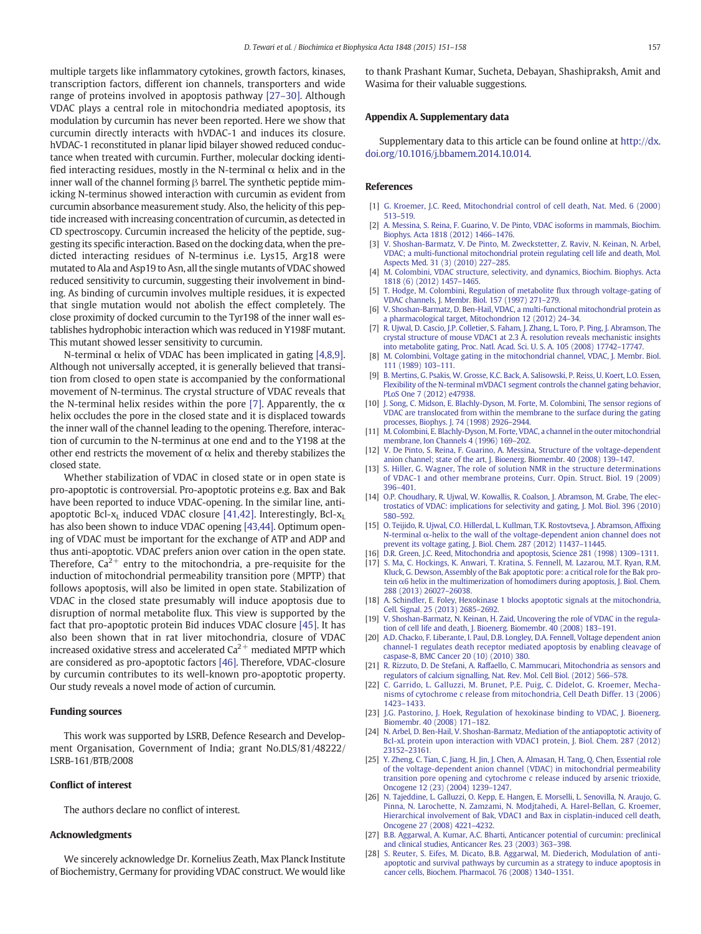<span id="page-6-0"></span>multiple targets like inflammatory cytokines, growth factors, kinases, transcription factors, different ion channels, transporters and wide range of proteins involved in apoptosis pathway [27–30]. Although VDAC plays a central role in mitochondria mediated apoptosis, its modulation by curcumin has never been reported. Here we show that curcumin directly interacts with hVDAC-1 and induces its closure. hVDAC-1 reconstituted in planar lipid bilayer showed reduced conductance when treated with curcumin. Further, molecular docking identified interacting residues, mostly in the N-terminal  $\alpha$  helix and in the inner wall of the channel forming β barrel. The synthetic peptide mimicking N-terminus showed interaction with curcumin as evident from curcumin absorbance measurement study. Also, the helicity of this peptide increased with increasing concentration of curcumin, as detected in CD spectroscopy. Curcumin increased the helicity of the peptide, suggesting its specific interaction. Based on the docking data, when the predicted interacting residues of N-terminus i.e. Lys15, Arg18 were mutated to Ala and Asp19 to Asn, all the single mutants of VDAC showed reduced sensitivity to curcumin, suggesting their involvement in binding. As binding of curcumin involves multiple residues, it is expected that single mutation would not abolish the effect completely. The close proximity of docked curcumin to the Tyr198 of the inner wall establishes hydrophobic interaction which was reduced in Y198F mutant. This mutant showed lesser sensitivity to curcumin.

N-terminal  $\alpha$  helix of VDAC has been implicated in gating [4,8,9]. Although not universally accepted, it is generally believed that transition from closed to open state is accompanied by the conformational movement of N-terminus. The crystal structure of VDAC reveals that the N-terminal helix resides within the pore [7]. Apparently, the  $\alpha$ helix occludes the pore in the closed state and it is displaced towards the inner wall of the channel leading to the opening. Therefore, interaction of curcumin to the N-terminus at one end and to the Y198 at the other end restricts the movement of  $\alpha$  helix and thereby stabilizes the closed state.

Whether stabilization of VDAC in closed state or in open state is pro-apoptotic is controversial. Pro-apoptotic proteins e.g. Bax and Bak have been reported to induce VDAC-opening. In the similar line, antiapoptotic Bcl- $x_L$  induced VDAC closure [41,42]. Interestingly, Bcl- $x_L$ has also been shown to induce VDAC opening [43,44]. Optimum opening of VDAC must be important for the exchange of ATP and ADP and thus anti-apoptotic. VDAC prefers anion over cation in the open state. Therefore,  $Ca^{2+}$  entry to the mitochondria, a pre-requisite for the induction of mitochondrial permeability transition pore (MPTP) that follows apoptosis, will also be limited in open state. Stabilization of VDAC in the closed state presumably will induce apoptosis due to disruption of normal metabolite flux. This view is supported by the fact that pro-apoptotic protein Bid induces VDAC closure [45]. It has also been shown that in rat liver mitochondria, closure of VDAC increased oxidative stress and accelerated  $Ca<sup>2+</sup>$  mediated MPTP which are considered as pro-apoptotic factors [46]. Therefore, VDAC-closure by curcumin contributes to its well-known pro-apoptotic property. Our study reveals a novel mode of action of curcumin.

#### Funding sources

This work was supported by LSRB, Defence Research and Development Organisation, Government of India; grant No.DLS/81/48222/ LSRB-161/BTB/2008

#### Conflict of interest

The authors declare no conflict of interest.

### Acknowledgments

We sincerely acknowledge Dr. Kornelius Zeath, Max Planck Institute of Biochemistry, Germany for providing VDAC construct. We would like to thank Prashant Kumar, Sucheta, Debayan, Shashipraksh, Amit and Wasima for their valuable suggestions.

# Appendix A. Supplementary data

Supplementary data to this article can be found online at [http://dx.](http://dx.doi.org/10.1016/j.bbamem.2014.10.014) [doi.org/10.1016/j.bbamem.2014.10.014.](http://dx.doi.org/10.1016/j.bbamem.2014.10.014)

## References

- [1] [G. Kroemer, J.C. Reed, Mitochondrial control of cell death, Nat. Med. 6 \(2000\)](http://refhub.elsevier.com/S0005-2736(14)00349-6/rf0005) [513](http://refhub.elsevier.com/S0005-2736(14)00349-6/rf0005)–519.
- [2] [A. Messina, S. Reina, F. Guarino, V. De Pinto, VDAC isoforms in mammals, Biochim.](http://refhub.elsevier.com/S0005-2736(14)00349-6/rf0010) [Biophys. Acta 1818 \(2012\) 1466](http://refhub.elsevier.com/S0005-2736(14)00349-6/rf0010)–1476.
- [3] [V. Shoshan-Barmatz, V. De Pinto, M. Zweckstetter, Z. Raviv, N. Keinan, N. Arbel,](http://refhub.elsevier.com/S0005-2736(14)00349-6/rf0015) [VDAC; a multi-functional mitochondrial protein regulating cell life and death, Mol.](http://refhub.elsevier.com/S0005-2736(14)00349-6/rf0015) [Aspects Med. 31 \(3\) \(2010\) 227](http://refhub.elsevier.com/S0005-2736(14)00349-6/rf0015)–285.
- [4] [M. Colombini, VDAC structure, selectivity, and dynamics, Biochim. Biophys. Acta](http://refhub.elsevier.com/S0005-2736(14)00349-6/rf0020) [1818 \(6\) \(2012\) 1457](http://refhub.elsevier.com/S0005-2736(14)00349-6/rf0020)–1465.
- [5] [T. Hodge, M. Colombini, Regulation of metabolite](http://refhub.elsevier.com/S0005-2736(14)00349-6/rf0025) flux through voltage-gating of [VDAC channels, J. Membr. Biol. 157 \(1997\) 271](http://refhub.elsevier.com/S0005-2736(14)00349-6/rf0025)–279.
- [6] [V. Shoshan-Barmatz, D. Ben-Hail, VDAC, a multi-functional mitochondrial protein as](http://refhub.elsevier.com/S0005-2736(14)00349-6/rf0030) [a pharmacological target, Mitochondrion 12 \(2012\) 24](http://refhub.elsevier.com/S0005-2736(14)00349-6/rf0030)–34.
- [7] [R. Ujwal, D. Cascio, J.P. Colletier, S. Faham, J. Zhang, L. Toro, P. Ping, J. Abramson, The](http://refhub.elsevier.com/S0005-2736(14)00349-6/rf0035) [crystal structure of mouse VDAC1 at 2.3 Å. resolution reveals mechanistic insights](http://refhub.elsevier.com/S0005-2736(14)00349-6/rf0035) [into metabolite gating, Proc. Natl. Acad. Sci. U. S. A. 105 \(2008\) 17742](http://refhub.elsevier.com/S0005-2736(14)00349-6/rf0035)–17747.
- [8] [M. Colombini, Voltage gating in the mitochondrial channel, VDAC, J. Membr. Biol.](http://refhub.elsevier.com/S0005-2736(14)00349-6/rf0040) [111 \(1989\) 103](http://refhub.elsevier.com/S0005-2736(14)00349-6/rf0040)–111.
- [9] [B. Mertins, G. Psakis, W. Grosse, K.C. Back, A. Salisowski, P. Reiss, U. Koert, L.O. Essen,](http://refhub.elsevier.com/S0005-2736(14)00349-6/rf0045) [Flexibility of the N-terminal mVDAC1 segment controls the channel gating behavior,](http://refhub.elsevier.com/S0005-2736(14)00349-6/rf0045) [PLoS One 7 \(2012\) e47938](http://refhub.elsevier.com/S0005-2736(14)00349-6/rf0045).
- [10] [J. Song, C. Midson, E. Blachly-Dyson, M. Forte, M. Colombini, The sensor regions of](http://refhub.elsevier.com/S0005-2736(14)00349-6/rf0050) [VDAC are translocated from within the membrane to the surface during the gating](http://refhub.elsevier.com/S0005-2736(14)00349-6/rf0050) [processes, Biophys. J. 74 \(1998\) 2926](http://refhub.elsevier.com/S0005-2736(14)00349-6/rf0050)–2944.
- [11] [M. Colombini, E. Blachly-Dyson, M. Forte, VDAC, a channel in the outer mitochondrial](http://refhub.elsevier.com/S0005-2736(14)00349-6/rf0055) [membrane, Ion Channels 4 \(1996\) 169](http://refhub.elsevier.com/S0005-2736(14)00349-6/rf0055)–202.
- [12] [V. De Pinto, S. Reina, F. Guarino, A. Messina, Structure of the voltage-dependent](http://refhub.elsevier.com/S0005-2736(14)00349-6/rf0060) [anion channel; state of the art, J. Bioenerg. Biomembr. 40 \(2008\) 139](http://refhub.elsevier.com/S0005-2736(14)00349-6/rf0060)–147.
- [13] [S. Hiller, G. Wagner, The role of solution NMR in the structure determinations](http://refhub.elsevier.com/S0005-2736(14)00349-6/rf0065) [of VDAC-1 and other membrane proteins, Curr. Opin. Struct. Biol. 19 \(2009\)](http://refhub.elsevier.com/S0005-2736(14)00349-6/rf0065) 396–[401](http://refhub.elsevier.com/S0005-2736(14)00349-6/rf0065).
- [14] [O.P. Choudhary, R. Ujwal, W. Kowallis, R. Coalson, J. Abramson, M. Grabe, The elec](http://refhub.elsevier.com/S0005-2736(14)00349-6/rf0070)[trostatics of VDAC: implications for selectivity and gating, J. Mol. Biol. 396 \(2010\)](http://refhub.elsevier.com/S0005-2736(14)00349-6/rf0070) 580–[592.](http://refhub.elsevier.com/S0005-2736(14)00349-6/rf0070)
- [15] [O. Teijido, R. Ujwal, C.O. Hillerdal, L. Kullman, T.K. Rostovtseva, J. Abramson, Af](http://refhub.elsevier.com/S0005-2736(14)00349-6/rf0075)fixing N-terminal α[-helix to the wall of the voltage-dependent anion channel does not](http://refhub.elsevier.com/S0005-2736(14)00349-6/rf0075) [prevent its voltage gating, J. Biol. Chem. 287 \(2012\) 11437](http://refhub.elsevier.com/S0005-2736(14)00349-6/rf0075)–11445.
- [16] [D.R. Green, J.C. Reed, Mitochondria and apoptosis, Science 281 \(1998\) 1309](http://refhub.elsevier.com/S0005-2736(14)00349-6/rf0080)-1311. [17] [S. Ma, C. Hockings, K. Anwari, T. Kratina, S. Fennell, M. Lazarou, M.T. Ryan, R.M.](http://refhub.elsevier.com/S0005-2736(14)00349-6/rf0085) [Kluck, G. Dewson, Assembly of the Bak apoptotic pore: a critical role for the Bak pro](http://refhub.elsevier.com/S0005-2736(14)00349-6/rf0085)tein α[6 helix in the multimerization of homodimers during apoptosis, J. Biol. Chem.](http://refhub.elsevier.com/S0005-2736(14)00349-6/rf0085)
- [288 \(2013\) 26027](http://refhub.elsevier.com/S0005-2736(14)00349-6/rf0085)–26038. [18] [A. Schindler, E. Foley, Hexokinase 1 blocks apoptotic signals at the mitochondria,](http://refhub.elsevier.com/S0005-2736(14)00349-6/rf0090) [Cell. Signal. 25 \(2013\) 2685](http://refhub.elsevier.com/S0005-2736(14)00349-6/rf0090)–2692.
- [19] [V. Shoshan-Barmatz, N. Keinan, H. Zaid, Uncovering the role of VDAC in the regula](http://refhub.elsevier.com/S0005-2736(14)00349-6/rf0095)[tion of cell life and death, J. Bioenerg. Biomembr. 40 \(2008\) 183](http://refhub.elsevier.com/S0005-2736(14)00349-6/rf0095)–191.
- [20] [A.D. Chacko, F. Liberante, I. Paul, D.B. Longley, D.A. Fennell, Voltage dependent anion](http://refhub.elsevier.com/S0005-2736(14)00349-6/rf0210) [channel-1 regulates death receptor mediated apoptosis by enabling cleavage of](http://refhub.elsevier.com/S0005-2736(14)00349-6/rf0210) [caspase-8, BMC Cancer 20 \(10\) \(2010\) 380.](http://refhub.elsevier.com/S0005-2736(14)00349-6/rf0210)
- [21] [R. Rizzuto, D. De Stefani, A. Raffaello, C. Mammucari, Mitochondria as sensors and](http://refhub.elsevier.com/S0005-2736(14)00349-6/rf0100) [regulators of calcium signalling, Nat. Rev. Mol. Cell Biol. \(2012\) 566](http://refhub.elsevier.com/S0005-2736(14)00349-6/rf0100)–578.
- [22] [C. Garrido, L. Galluzzi, M. Brunet, P.E. Puig, C. Didelot, G. Kroemer, Mecha](http://refhub.elsevier.com/S0005-2736(14)00349-6/rf0105)[nisms of cytochrome c release from mitochondria, Cell Death Differ. 13 \(2006\)](http://refhub.elsevier.com/S0005-2736(14)00349-6/rf0105) 1423–[1433](http://refhub.elsevier.com/S0005-2736(14)00349-6/rf0105).
- [23] [J.G. Pastorino, J. Hoek, Regulation of hexokinase binding to VDAC, J. Bioenerg.](http://refhub.elsevier.com/S0005-2736(14)00349-6/rf0110) [Biomembr. 40 \(2008\) 171](http://refhub.elsevier.com/S0005-2736(14)00349-6/rf0110)–182.
- [24] [N. Arbel, D. Ben-Hail, V. Shoshan-Barmatz, Mediation of the antiapoptotic activity of](http://refhub.elsevier.com/S0005-2736(14)00349-6/rf0115) [Bcl-xL protein upon interaction with VDAC1 protein, J. Biol. Chem. 287 \(2012\)](http://refhub.elsevier.com/S0005-2736(14)00349-6/rf0115) [23152](http://refhub.elsevier.com/S0005-2736(14)00349-6/rf0115)–23161.
- [25] [Y. Zheng, C. Tian, C. Jiang, H. Jin, J. Chen, A. Almasan, H. Tang, Q. Chen, Essential role](http://refhub.elsevier.com/S0005-2736(14)00349-6/rf0120) [of the voltage-dependent anion channel \(VDAC\) in mitochondrial permeability](http://refhub.elsevier.com/S0005-2736(14)00349-6/rf0120) [transition pore opening and cytochrome c release induced by arsenic trioxide,](http://refhub.elsevier.com/S0005-2736(14)00349-6/rf0120) [Oncogene 12 \(23\) \(2004\) 1239](http://refhub.elsevier.com/S0005-2736(14)00349-6/rf0120)–1247.
- [26] [N. Tajeddine, L. Galluzzi, O. Kepp, E. Hangen, E. Morselli, L. Senovilla, N. Araujo, G.](http://refhub.elsevier.com/S0005-2736(14)00349-6/rf0125) [Pinna, N. Larochette, N. Zamzami, N. Modjtahedi, A. Harel-Bellan, G. Kroemer,](http://refhub.elsevier.com/S0005-2736(14)00349-6/rf0125) [Hierarchical involvement of Bak, VDAC1 and Bax in cisplatin-induced cell death,](http://refhub.elsevier.com/S0005-2736(14)00349-6/rf0125) [Oncogene 27 \(2008\) 4221](http://refhub.elsevier.com/S0005-2736(14)00349-6/rf0125)–4232.
- [27] [B.B. Aggarwal, A. Kumar, A.C. Bharti, Anticancer potential of curcumin: preclinical](http://refhub.elsevier.com/S0005-2736(14)00349-6/rf0215) [and clinical studies, Anticancer Res. 23 \(2003\) 363](http://refhub.elsevier.com/S0005-2736(14)00349-6/rf0215)–398.
- [28] [S. Reuter, S. Eifes, M. Dicato, B.B. Aggarwal, M. Diederich, Modulation of anti](http://refhub.elsevier.com/S0005-2736(14)00349-6/rf0130)[apoptotic and survival pathways by curcumin as a strategy to induce apoptosis in](http://refhub.elsevier.com/S0005-2736(14)00349-6/rf0130) [cancer cells, Biochem. Pharmacol. 76 \(2008\) 1340](http://refhub.elsevier.com/S0005-2736(14)00349-6/rf0130)–1351.